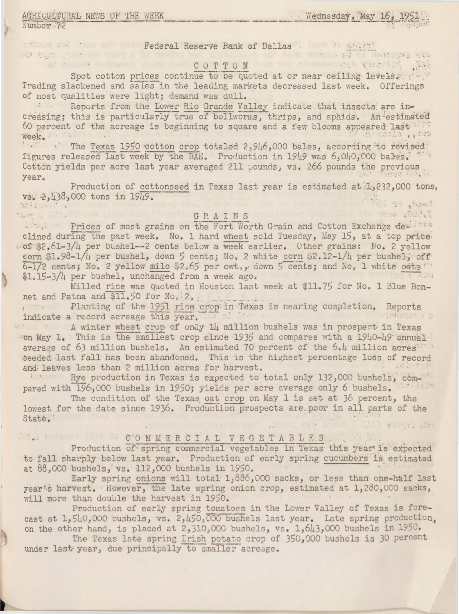# AGRICULTURAL NEWS OF THE WEEK

Number 72

addance in the Second Reserve Bank of Dallas Communications and the second in the second second

Spot cotton prices continue to be quoted at or near ceiling levels. Trading slackened and sales in the leading markets decreased last week. Offerings of most qualities were light; demand was dull.

Reports from the Lower Rio Grande Valley indicate that insects are increasing; this is particularly true of bollworms, thrips, and aphids. An estimated 60 percent of the acreage is beginning to square and a few blooms appeared last Stripe Elisabeth week.

The Texas 1950 cotton crop totaled 2,946,000 bales, according to revised figures released last week by the BAE. Production in 1949 was 6,040,000 bales. Cotton yields per acre last year averaged 211 pounds, vs. 266 pounds the previous **Alaka Lage ya** year.

Production of cottonseed in Texas last year is estimated at 1,232,000 tons, vs. 2,438,000 tons in 1949. Bi The basi wilt : : .

# CARAINS CRAINS THE THE CONSTRUCTION OF THE REAL PROPERTY OF THE REAL PROPERTY OF THE REAL PROPERTY OF THE REAL PROPERTY OF THE REAL PROPERTY OF THE REAL PROPERTY OF THE REAL PROPERTY OF THE REAL PROPERTY OF THE REAL PROPER

it a Prices of most grains on the Fort Worth Grain and Cotton Exchange der the clined during the past week. No. 1 hard wheat sold Tuesday, May 15, at a top price .0f \$2.61-3/4 per bushel -- 2 cents below a week earlier. Other grains: No. 2 yellow corn \$1.98-1/4 per bushel, down 5 cents; No, 2 white corn \$2.12-1/4 per bushel, off 6-1/2 cents; No. 2 yellow milo \$2.65 per cwt., down 5 cents; and No. 1 white oats" \$1.15-3/4 per bushel, unchanged from a week ago.

Milled rice was quoted in Houston last week at \$11.75 for No. 1 Blue Bonnet and Patna and \$11.50 for No. 2.

Planting of the 1951 rice crop in Texas is nearing completion. Reports indicate a record acreage this year. 计上标图图 2 元

A winter wheat crop of only 14 million bushels was in prospect in Texas on May 1. This is the smallest crop since 1935 and compares with a 1940-49 annual average of 63 million bushels. An estimated 70 percent of the 6.4 million acres seeded last fall has been abandoned. This is the highest percentage loss of record and leaves less than 2 million acres for harvest.

By Rye production in Texas is expected to total only 132,000 bushels, compared with 196,000 bushels in 1950; yields per acre average only 6 bushels.

The condition of the Texas oat crop on May 1 is set at 36 percent, the lowest for the date since 1936. Production prospects are poor in all parts of the State. i li alimstants

## 

Production of spring commercial vegetables in Texas this year is expected to fall sharply below last year. Production of early spring cucumbers is estimated at 88,000 bushels, vs. 112,000 bushels in 1950.

Early spring onions will total 1,886,000 sacks, or less than one-half last year's harvest. However, the late spring onion crop, estimated at 1,280,000 sacks, will more than double the harvest in 1950.

Production of early spring tomatoes in the Lower Valley of Texas is forecast at 1,540,000 bushels, vs. 2,450,000 bushels last year. Late spring production, on the other hand, is placed at 2,310,000 bushels, vs. 1,643,000 bushels in 1950.

The Texas late spring Irish potato crop of 350,000 bushels is 30 percent under last year, due principally to smaller acreage.

Wednesday, May 16,